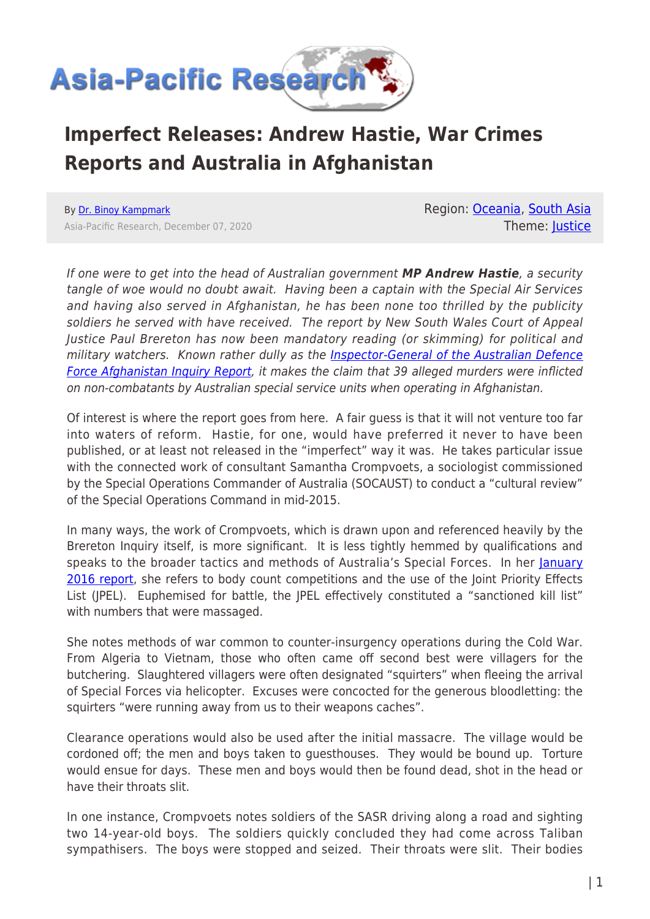

## **Imperfect Releases: Andrew Hastie, War Crimes Reports and Australia in Afghanistan**

By [Dr. Binoy Kampmark](https://www.asia-pacificresearch.com/author/binoy-kampmark) Asia-Pacific Research, December 07, 2020 Region: [Oceania](https://www.asia-pacificresearch.com/region/as-oceania), [South Asia](https://www.asia-pacificresearch.com/region/south-asia) Theme: [Justice](https://www.asia-pacificresearch.com/theme/justice-2)

If one were to get into the head of Australian government *MP Andrew Hastie*, a security tangle of woe would no doubt await. Having been a captain with the Special Air Services and having also served in Afghanistan, he has been none too thrilled by the publicity soldiers he served with have received. The report by New South Wales Court of Appeal Justice Paul Brereton has now been mandatory reading (or skimming) for political and military watchers. Known rather dully as the [Inspector-General of the Australian Defence](https://afghanistaninquiry.defence.gov.au/sites/default/files/2020-11/IGADF-Afghanistan-Inquiry-Public-Release-Version.pdf) [Force Afghanistan Inquiry Report](https://afghanistaninquiry.defence.gov.au/sites/default/files/2020-11/IGADF-Afghanistan-Inquiry-Public-Release-Version.pdf), it makes the claim that 39 alleged murders were inflicted on non-combatants by Australian special service units when operating in Afghanistan.

Of interest is where the report goes from here. A fair guess is that it will not venture too far into waters of reform. Hastie, for one, would have preferred it never to have been published, or at least not released in the "imperfect" way it was. He takes particular issue with the connected work of consultant Samantha Crompvoets, a sociologist commissioned by the Special Operations Commander of Australia (SOCAUST) to conduct a "cultural review" of the Special Operations Command in mid-2015.

In many ways, the work of Crompvoets, which is drawn upon and referenced heavily by the Brereton Inquiry itself, is more significant. It is less tightly hemmed by qualifications and speaks to the broader tactics and methods of Australia's Special Forces. In her *[January](https://afghanistaninquiry.defence.gov.au/sites/default/files/2020-11/IGADF-Afghanistan-Inquiry-Public-Release-Version.pdf)* [2016 report](https://afghanistaninquiry.defence.gov.au/sites/default/files/2020-11/IGADF-Afghanistan-Inquiry-Public-Release-Version.pdf), she refers to body count competitions and the use of the Joint Priority Effects List (JPEL). Euphemised for battle, the JPEL effectively constituted a "sanctioned kill list" with numbers that were massaged.

She notes methods of war common to counter-insurgency operations during the Cold War. From Algeria to Vietnam, those who often came off second best were villagers for the butchering. Slaughtered villagers were often designated "squirters" when fleeing the arrival of Special Forces via helicopter. Excuses were concocted for the generous bloodletting: the squirters "were running away from us to their weapons caches".

Clearance operations would also be used after the initial massacre. The village would be cordoned off; the men and boys taken to guesthouses. They would be bound up. Torture would ensue for days. These men and boys would then be found dead, shot in the head or have their throats slit.

In one instance, Crompvoets notes soldiers of the SASR driving along a road and sighting two 14-year-old boys. The soldiers quickly concluded they had come across Taliban sympathisers. The boys were stopped and seized. Their throats were slit. Their bodies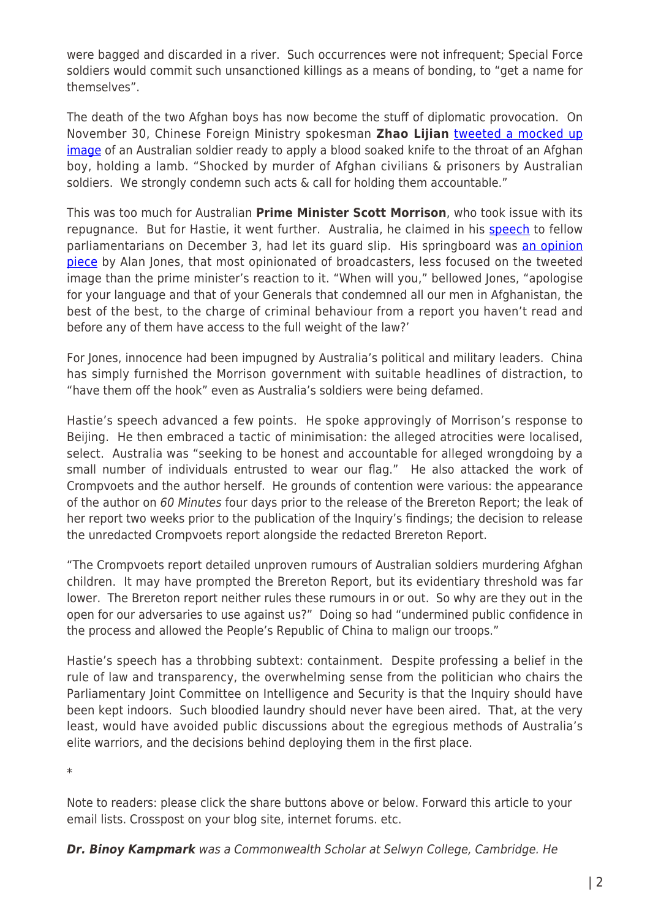were bagged and discarded in a river. Such occurrences were not infrequent; Special Force soldiers would commit such unsanctioned killings as a means of bonding, to "get a name for themselves".

The death of the two Afghan boys has now become the stuff of diplomatic provocation. On November 30, Chinese Foreign Ministry spokesman **Zhao Lijian** [tweeted a mocked up](https://twitter.com/zlj517/status/1333214766806888448) [image](https://twitter.com/zlj517/status/1333214766806888448) of an Australian soldier ready to apply a blood soaked knife to the throat of an Afghan boy, holding a lamb. "Shocked by murder of Afghan civilians & prisoners by Australian soldiers. We strongly condemn such acts & call for holding them accountable."

This was too much for Australian **Prime Minister Scott Morrison**, who took issue with its repugnance. But for Hastie, it went further. Australia, he claimed in his **[speech](https://parlinfo.aph.gov.au/parlInfo/search/display/display.w3p;query=Id%3A%22chamber%2Fhansardr%2F11b18738-de56-4d82-82f6-2c10fddd6b2b%2F0177%22)** to fellow parliamentarians on December 3, had let its guard slip. His springboard was [an opinion](https://www.dailytelegraph.com.au/news/opinion/alan-jones-scott-morrison-gave-china-the-opening/news-story/caec157dc262a86f4eb3ea0f7f1f054f) [piece](https://www.dailytelegraph.com.au/news/opinion/alan-jones-scott-morrison-gave-china-the-opening/news-story/caec157dc262a86f4eb3ea0f7f1f054f) by Alan Jones, that most opinionated of broadcasters, less focused on the tweeted image than the prime minister's reaction to it. "When will you," bellowed Jones, "apologise for your language and that of your Generals that condemned all our men in Afghanistan, the best of the best, to the charge of criminal behaviour from a report you haven't read and before any of them have access to the full weight of the law?'

For Jones, innocence had been impugned by Australia's political and military leaders. China has simply furnished the Morrison government with suitable headlines of distraction, to "have them off the hook" even as Australia's soldiers were being defamed.

Hastie's speech advanced a few points. He spoke approvingly of Morrison's response to Beijing. He then embraced a tactic of minimisation: the alleged atrocities were localised. select. Australia was "seeking to be honest and accountable for alleged wrongdoing by a small number of individuals entrusted to wear our flag." He also attacked the work of Crompvoets and the author herself. He grounds of contention were various: the appearance of the author on 60 Minutes four days prior to the release of the Brereton Report; the leak of her report two weeks prior to the publication of the Inquiry's findings; the decision to release the unredacted Crompvoets report alongside the redacted Brereton Report.

"The Crompvoets report detailed unproven rumours of Australian soldiers murdering Afghan children. It may have prompted the Brereton Report, but its evidentiary threshold was far lower. The Brereton report neither rules these rumours in or out. So why are they out in the open for our adversaries to use against us?" Doing so had "undermined public confidence in the process and allowed the People's Republic of China to malign our troops."

Hastie's speech has a throbbing subtext: containment. Despite professing a belief in the rule of law and transparency, the overwhelming sense from the politician who chairs the Parliamentary Joint Committee on Intelligence and Security is that the Inquiry should have been kept indoors. Such bloodied laundry should never have been aired. That, at the very least, would have avoided public discussions about the egregious methods of Australia's elite warriors, and the decisions behind deploying them in the first place.

\*

Note to readers: please click the share buttons above or below. Forward this article to your email lists. Crosspost on your blog site, internet forums. etc.

*Dr. Binoy Kampmark* was a Commonwealth Scholar at Selwyn College, Cambridge. He